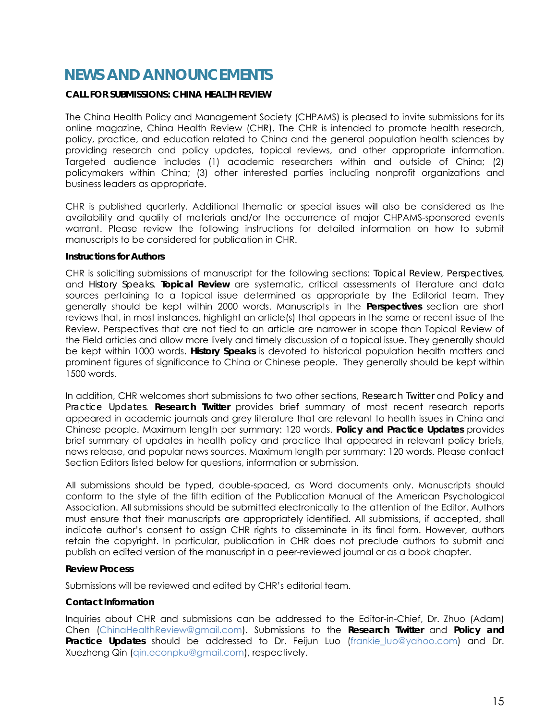## **NEWS AND ANNOUNCEMENTS**

## **CALL FOR SUBMISSIONS: CHINA HEALTH REVIEW**

The China Health Policy and Management Society (CHPAMS) is pleased to invite submissions for its online magazine, China Health Review (CHR). The CHR is intended to promote health research, policy, practice, and education related to China and the general population health sciences by providing research and policy updates, topical reviews, and other appropriate information. Targeted audience includes (1) academic researchers within and outside of China; (2) policymakers within China; (3) other interested parties including nonprofit organizations and business leaders as appropriate.

CHR is published quarterly. Additional thematic or special issues will also be considered as the availability and quality of materials and/or the occurrence of major CHPAMS-sponsored events warrant. Please review the following instructions for detailed information on how to submit manuscripts to be considered for publication in CHR.

## **Instructions for Authors**

CHR is soliciting submissions of manuscript for the following sections: *Topical Review*, *Perspectives*, and *History Speaks*. *Topical Review* are systematic, critical assessments of literature and data sources pertaining to a topical issue determined as appropriate by the Editorial team. They generally should be kept within 2000 words. Manuscripts in the *Perspectives* section are short reviews that, in most instances, highlight an article(s) that appears in the same or recent issue of the Review. Perspectives that are not tied to an article are narrower in scope than Topical Review of the Field articles and allow more lively and timely discussion of a topical issue. They generally should be kept within 1000 words. *History Speaks* is devoted to historical population health matters and prominent figures of significance to China or Chinese people. They generally should be kept within 1500 words.

In addition, CHR welcomes short submissions to two other sections, *Research Twitter* and *Policy and Practice Updates*. *Research Twitter* provides brief summary of most recent research reports appeared in academic journals and grey literature that are relevant to health issues in China and Chinese people. Maximum length per summary: 120 words. *Policy and Practice Updates* provides brief summary of updates in health policy and practice that appeared in relevant policy briefs, news release, and popular news sources. Maximum length per summary: 120 words. Please contact Section Editors listed below for questions, information or submission.

All submissions should be typed, double-spaced, as Word documents only. Manuscripts should conform to the style of the fifth edition of the Publication Manual of the American Psychological Association. All submissions should be submitted electronically to the attention of the Editor. Authors must ensure that their manuscripts are appropriately identified. All submissions, if accepted, shall indicate author's consent to assign CHR rights to disseminate in its final form. However, authors retain the copyright. In particular, publication in CHR does not preclude authors to submit and publish an edited version of the manuscript in a peer-reviewed journal or as a book chapter.

## **Review Process**

Submissions will be reviewed and edited by CHR's editorial team.

## **Contact Information**

Inquiries about CHR and submissions can be addressed to the Editor-in-Chief, Dr. Zhuo (Adam) Chen (ChinaHealthReview@gmail.com). Submissions to the *Research Twitter* and *Policy and*  **Practice Updates** should be addressed to Dr. Feijun Luo (frankie luo@yahoo.com) and Dr. Xuezheng Qin (qin.econpku@gmail.com), respectively.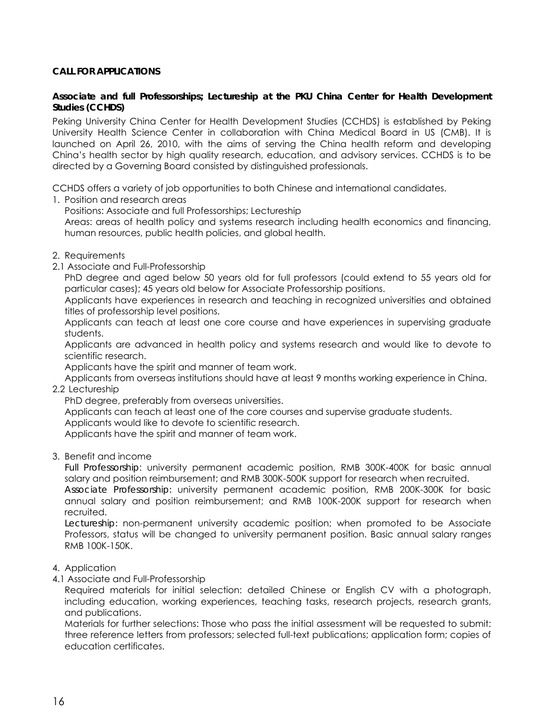## **CALL FOR APPLICATIONS**

## **Associate and full Professorships; Lectureship at the PKU China Center for Health Development Studies (CCHDS)**

Peking University China Center for Health Development Studies (CCHDS) is established by Peking University Health Science Center in collaboration with China Medical Board in US (CMB). It is launched on April 26, 2010, with the aims of serving the China health reform and developing China's health sector by high quality research, education, and advisory services. CCHDS is to be directed by a Governing Board consisted by distinguished professionals.

CCHDS offers a variety of job opportunities to both Chinese and international candidates.

1. Position and research areas

Positions: Associate and full Professorships; Lectureship

Areas: areas of health policy and systems research including health economics and financing, human resources, public health policies, and global health.

- 2. Requirements
- 2.1 Associate and Full-Professorship

PhD degree and aged below 50 years old for full professors (could extend to 55 years old for particular cases); 45 years old below for Associate Professorship positions.

Applicants have experiences in research and teaching in recognized universities and obtained titles of professorship level positions.

Applicants can teach at least one core course and have experiences in supervising graduate students.

Applicants are advanced in health policy and systems research and would like to devote to scientific research.

Applicants have the spirit and manner of team work.

Applicants from overseas institutions should have at least 9 months working experience in China. 2.2 Lectureship

PhD degree, preferably from overseas universities.

Applicants can teach at least one of the core courses and supervise graduate students.

Applicants would like to devote to scientific research.

Applicants have the spirit and manner of team work.

3. Benefit and income

*Full Professorship*: university permanent academic position, RMB 300K-400K for basic annual salary and position reimbursement; and RMB 300K-500K support for research when recruited.

*Associate Professorship:* university permanent academic position, RMB 200K-300K for basic annual salary and position reimbursement; and RMB 100K-200K support for research when recruited.

*Lectureship:* non-permanent university academic position; when promoted to be Associate Professors, status will be changed to university permanent position. Basic annual salary ranges RMB 100K-150K.

- 4. Application
- 4.1 Associate and Full-Professorship

Required materials for initial selection: detailed Chinese or English CV with a photograph, including education, working experiences, teaching tasks, research projects, research grants, and publications.

Materials for further selections: Those who pass the initial assessment will be requested to submit: three reference letters from professors; selected full-text publications; application form; copies of education certificates.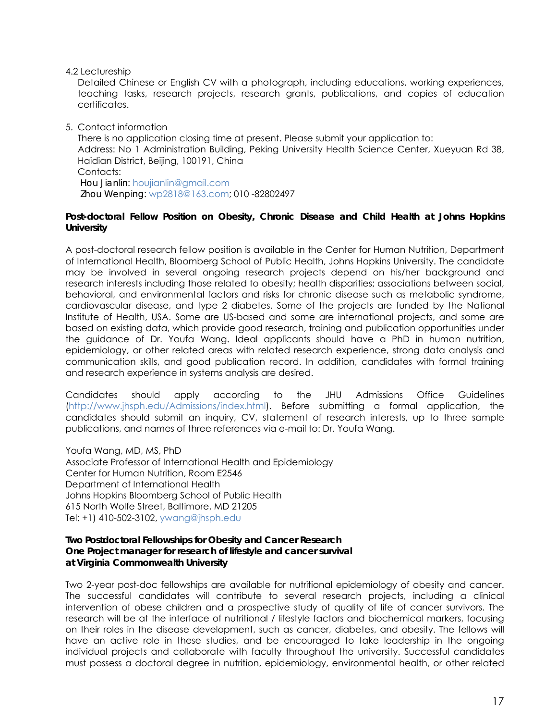4.2 Lectureship

Detailed Chinese or English CV with a photograph, including educations, working experiences, teaching tasks, research projects, research grants, publications, and copies of education certificates.

5. Contact information

There is no application closing time at present. Please submit your application to: Address: No 1 Administration Building, Peking University Health Science Center, Xueyuan Rd 38, Haidian District, Beijing, 100191, China Contacts: *Hou Jianlin*: houjianlin@gmail.com  *Zhou Wenping*: wp2818@163.com; 010 -82802497

#### **Post-doctoral Fellow Position on Obesity, Chronic Disease and Child Health at Johns Hopkins University**

A post-doctoral research fellow position is available in the Center for Human Nutrition, Department of International Health, Bloomberg School of Public Health, Johns Hopkins University. The candidate may be involved in several ongoing research projects depend on his/her background and research interests including those related to obesity; health disparities; associations between social, behavioral, and environmental factors and risks for chronic disease such as metabolic syndrome, cardiovascular disease, and type 2 diabetes. Some of the projects are funded by the National Institute of Health, USA. Some are US-based and some are international projects, and some are based on existing data, which provide good research, training and publication opportunities under the guidance of Dr. Youfa Wang. Ideal applicants should have a PhD in human nutrition, epidemiology, or other related areas with related research experience, strong data analysis and communication skills, and good publication record. In addition, candidates with formal training and research experience in systems analysis are desired.

Candidates should apply according to the JHU Admissions Office Guidelines (http://www.jhsph.edu/Admissions/index.html). Before submitting a formal application, the candidates should submit an inquiry, CV, statement of research interests, up to three sample publications, and names of three references via e-mail to: Dr. Youfa Wang.

Youfa Wang, MD, MS, PhD Associate Professor of International Health and Epidemiology Center for Human Nutrition, Room E2546 Department of International Health Johns Hopkins Bloomberg School of Public Health 615 North Wolfe Street, Baltimore, MD 21205 Tel: +1) 410-502-3102, ywang@jhsph.edu

## **Two Postdoctoral Fellowships for Obesity and Cancer Research One Project manager for research of lifestyle and cancer survival at Virginia Commonwealth University**

Two 2-year post-doc fellowships are available for nutritional epidemiology of obesity and cancer. The successful candidates will contribute to several research projects, including a clinical intervention of obese children and a prospective study of quality of life of cancer survivors. The research will be at the interface of nutritional / lifestyle factors and biochemical markers, focusing on their roles in the disease development, such as cancer, diabetes, and obesity. The fellows will have an active role in these studies, and be encouraged to take leadership in the ongoing individual projects and collaborate with faculty throughout the university. Successful candidates must possess a doctoral degree in nutrition, epidemiology, environmental health, or other related